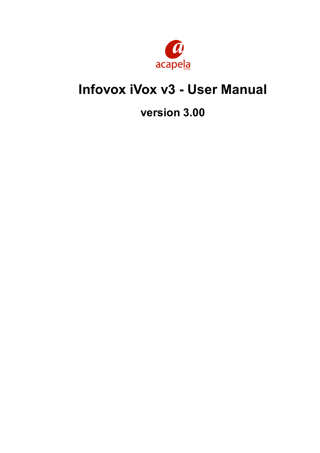

# **Infovox iVox v3 - User Manual**

# **version 3.00**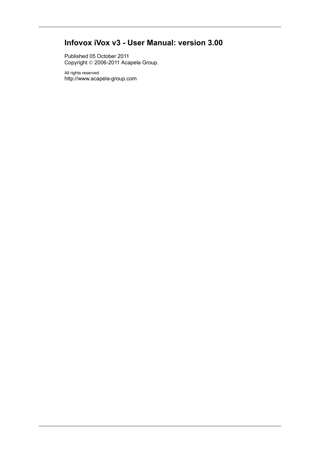# **Infovox iVox v3 - User Manual: version 3.00**

Published 05 October 2011 Copyright © 2006-2011 Acapela Group.

All rights reserved <http://www.acapela-group.com>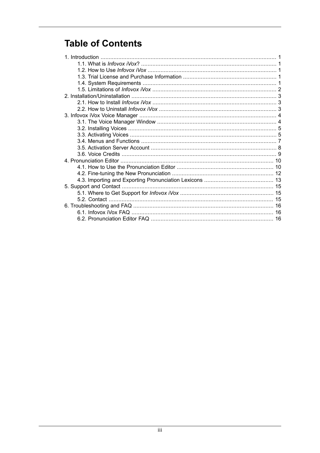# **Table of Contents**

| 16 |  |
|----|--|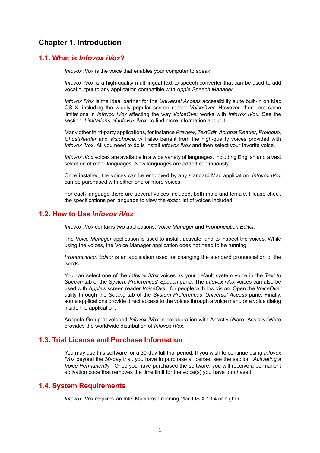## <span id="page-3-0"></span>**Chapter 1. Introduction**

### <span id="page-3-1"></span>**1.1. What is** *Infovox iVox***?**

*Infovox iVox* is the voice that enables your computer to speak.

*Infovox iVox* is a high-quality multilingual text-to-speech converter that can be used to add vocal output to any application compatible with *Apple Speech Manager*.

*Infovox iVox* is the ideal partner for the *Universal Access* accessibility suite built-in on Mac OS X, including the widely popular screen reader *VoiceOver*. However, there are some limitations in *Infovox iVox* affecting the way *VoiceOver* works with *Infovox iVox*. See the section *[Limitations](#page-4-1) of Infovox iVox* to find more information about it.

Many other third-party applications, for instance *Preview*, *TextEdit*, *Acrobat Reader*, *Proloquo*, *GhostReader* and *VisioVoice*, will also benefit from the high-quality voices provided with *Infovox iVox*. All you need to do is install *Infovox iVox* and then select your favorite voice.

*Infovox iVox* voices are available in a wide variety of languages, including English and a vast selection of other languages. New languages are added continuously.

Once installed, the voices can be employed by any standard Mac application. *Infovox iVox* can be purchased with either one or more voices.

<span id="page-3-2"></span>For each language there are several voices included, both male and female. Please check the specifications per language to view the exact list of voices included.

#### **1.2. How to Use** *Infovox iVox*

*Infovox iVox* contains two applications: *Voice Manager* and *Pronunciation Editor*.

The *Voice Manager* application is used to install, activate, and to inspect the voices. While using the voices, the Voice Manager application does not need to be running.

*Pronunciation Editor* is an application used for changing the standard pronunciation of the words.

You can select one of the *Infovox iVox* voices as your default system voice in the *Text to Speech* tab of the *System Preferences*' *Speech* pane. The *Infovox iVox* voices can also be used with *Apple*'s screen reader *VoiceOver*, for people with low vision. Open the *VoiceOver* utility through the *Seeing* tab of the *System Preferences' Universal Access* pane. Finally, some applications provide direct access to the voices through a voice menu or a voice dialog inside the application.

<span id="page-3-3"></span>Acapela Group developed *Infovox iVox* in collaboration with AssistiveWare. AssistiveWare provides the worldwide distribution of *Infovox iVox*.

## **1.3. Trial License and Purchase Information**

<span id="page-3-4"></span>You may use this software for a 30-day full trial period. If you wish to continue using *Infovox iVox* beyond the 30-day trial, you have to purchase a license, see the section *[Activating](#page-7-2) a Voice [Permanently](#page-7-2)* . Once you have purchased the software, you will receive a permanent activation code that removes the time limit for the voice(s) you have purchased.

#### **1.4. System Requirements**

*Infovox iVox* requires an Intel Macintosh running Mac OS X 10.4 or higher.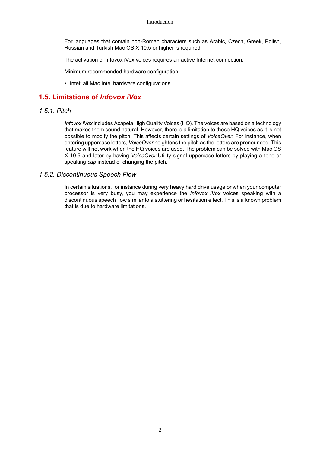For languages that contain non-Roman characters such as Arabic, Czech, Greek, Polish, Russian and Turkish Mac OS X 10.5 or higher is required.

The activation of Infovox iVox voices requires an active Internet connection.

Minimum recommended hardware configuration:

<span id="page-4-1"></span><span id="page-4-0"></span>• Intel: all Mac Intel hardware configurations

## **1.5. Limitations of** *Infovox iVox*

#### *1.5.1. Pitch*

*Infovox iVox* includes Acapela High Quality Voices (HQ). The voices are based on a technology that makes them sound natural. However, there is a limitation to these HQ voices as it is not possible to modify the pitch. This affects certain settings of *VoiceOver*. For instance, when entering uppercase letters, *VoiceOver* heightens the pitch as the letters are pronounced. This feature will not work when the HQ voices are used. The problem can be solved with Mac OS X 10.5 and later by having *VoiceOver* Utility signal uppercase letters by playing a tone or speaking *cap* instead of changing the pitch.

#### *1.5.2. Discontinuous Speech Flow*

In certain situations, for instance during very heavy hard drive usage or when your computer processor is very busy, you may experience the *Infovox iVox* voices speaking with a discontinuous speech flow similar to a stuttering or hesitation effect. This is a known problem that is due to hardware limitations.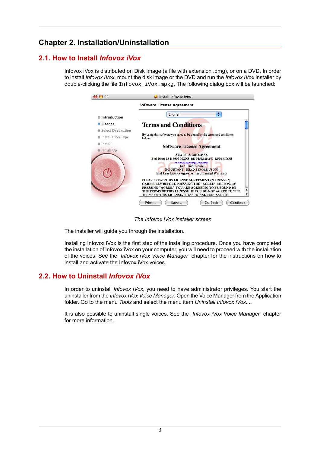## <span id="page-5-0"></span>**Chapter 2. Installation/Uninstallation**

## **2.1. How to Install** *Infovox iVox*

<span id="page-5-1"></span>Infovox iVox is distributed on Disk Image (a file with extension .dmg), or on a DVD. In order to install *Infovox iVox*, mount the disk image or the DVD and run the *Infovox iVox* installer by double-clicking the file Infovox\_iVox.mpkg. The following dialog box will be launched:

| <b>Software License Agreement</b>                                                                                                                              |                                                                                                                                          |  |  |
|----------------------------------------------------------------------------------------------------------------------------------------------------------------|------------------------------------------------------------------------------------------------------------------------------------------|--|--|
| ÷<br>English                                                                                                                                                   |                                                                                                                                          |  |  |
| <b>Terms and Conditions</b>                                                                                                                                    |                                                                                                                                          |  |  |
| By using this software you agree to be bound by the terms and conditions<br>helow:                                                                             |                                                                                                                                          |  |  |
| <b>Software License Agreement</b>                                                                                                                              |                                                                                                                                          |  |  |
| <b>ACAPELA GROUP SA</b><br><b>Byd Dolez 33 B 7000 MONS BE 0460.125.240 RPM MONS</b>                                                                            |                                                                                                                                          |  |  |
| <b>End User License</b><br><b>IMPORTANT - READ BEFORE USING</b>                                                                                                |                                                                                                                                          |  |  |
| PLEASE READ THIS LICENSE AGREEMENT ("LICENSE")<br><b>CAREFULLY BEFORE PRESSING THE "AGREE" BUTTON, BY</b><br>PRESSING "AGREE," YOU ARE AGREEING TO BE BOUND BY |                                                                                                                                          |  |  |
|                                                                                                                                                                | www.acapela-group.com<br><b>End User Licence Agreement and Limited Warranty</b><br>THE TERMS OF THIS LICENSE. IF YOU DO NOT AGREE TO THE |  |  |

*The Infovox iVox installer screen*

The installer will guide you through the installation.

<span id="page-5-2"></span>Installing Infovox iVox is the first step of the installing procedure. Once you have completed the installation of Infovox iVox on your computer, you will need to proceed with the installation of the voices. See the *Infovox iVox Voice [Manager](#page-6-0)* chapter for the instructions on how to install and activate the Infovox iVox voices.

## **2.2. How to Uninstall** *Infovox iVox*

In order to uninstall *Infovox iVox*, you need to have administrator privileges. You start the uninstaller from the*Infovox iVox Voice Manager*. Openthe Voice Manager from the Application folder. Go to the menu *Tools* and select the menu item *Uninstall Infovox iVox...*.

It is also possible to uninstall single voices. See the *Infovox iVox Voice [Manager](#page-6-0)* chapter for more information.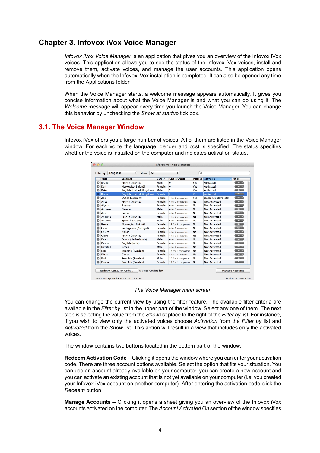## **Chapter 3. Infovox iVox Voice Manager**

<span id="page-6-0"></span>*Infovox iVox Voice Manager* is an application that gives you an overview of the Infovox iVox voices. This application allows you to see the status of the Infovox iVox voices, install and remove them, activate voices, and manage the user accounts. This application opens automatically when the Infovox iVox installation is completed. It can also be opened any time from the Applications folder.

<span id="page-6-1"></span>When the Voice Manager starts, a welcome message appears automatically. It gives you concise information about what the Voice Manager is and what you can do using it. The *Welcome* message will appear every time you launch the Voice Manager. You can change this behavior by unchecking the *Show at startup* tick box.

### **3.1. The Voice Manager Window**

Infovox iVox offers you a large number of voices. All of them are listed in the Voice Manager window. For each voice the language, gender and cost is specified. The status specifies whether the voice is installed on the computer and indicates activation status.

|   | Voice           | Language                        | Gender        | <b>Cost in Credits</b> | Installed | Activation           | A Action             |
|---|-----------------|---------------------------------|---------------|------------------------|-----------|----------------------|----------------------|
| Q | <b>Bruno</b>    | French (France)                 | Male          | $\mathbf 0$            | Yes       | <b>Activated</b>     | Action v             |
| o | Kari            | Norwegian Bokmål                | Female        | $\Omega$               | Yes       | <b>Activated</b>     | Action v             |
| ٥ | Peter           | English (United Kingdom)        | Male          | $\overline{c}$         | Yes       | <b>Activated</b>     | $Action - v$         |
|   | <b>Rachel</b>   | <b>English (United Kingdom)</b> | <b>Female</b> | $\overline{a}$         | Yes       | <b>Activated</b>     | $Action - r$         |
| ٥ | Zoe             | Dutch (Belgium)                 | Female        | 4 for 2 computers      | Yes       | Demo (28 days left)  | Action v             |
| Q | Alice           | French (France)                 | Female        | 4 for 2 computers      | <b>No</b> | <b>Not Activated</b> | Action v             |
| o | Alvona          | <b>Russian</b>                  | Female        | 4 for 2 computers      | No        | <b>Not Activated</b> | Action v             |
| Q | <b>Andreas</b>  | German                          | Male          | 4 for 2 computers      | <b>No</b> | <b>Not Activated</b> | $Action -$           |
| o | Ania            | Polish                          | Female        | 4 for 2 computers      | <b>No</b> | Not Activated        | $Action - v$         |
| Q | Antoine         | French (France)                 | Male          | 4 for 2 computers      | No        | <b>Not Activated</b> | $Action - v$         |
| Ω | Antonio         | Spanish (Spain)                 | Male          | 4 for 2 computers      | <b>No</b> | <b>Not Activated</b> | $Action - v$         |
| Q | Bente           | Norwegian Bokmål                | Female        | 14 for 2 computers     | No        | Not Activated        | Action v             |
| Q | Celia           | Portuguese (Portugal)           | Female        | 4 for 2 computers      | No        | Not Activated        | $Action -v$          |
| Q | Chiara          | Italian                         | Female        | 4 for 2 computers      | No        | <b>Not Activated</b> | $Action -v$          |
| Q | Claire          | French (France)                 | Female        | 4 for 2 computers      | <b>No</b> | Not Activated        | $Action \rightarrow$ |
| Q | Daan            | Dutch (Netherlands)             | Male          | 4 for 2 computers      | <b>No</b> | <b>Not Activated</b> | Action v             |
| o | Deepa           | English (India)                 | Female        | 4 for 2 computers      | No        | <b>Not Activated</b> | $Action -v$          |
| Q | <b>Dimitris</b> | <b>Creek</b>                    | Male          | 4 for 2 computers      | <b>No</b> | <b>Not Activated</b> | $Action - v$         |
| o | Elin            | Swedish (Sweden)                | Female        | 14 for 2 computers     | <b>No</b> | Not Activated        | $Action - v$         |
| o | Eliska          | Czech                           | Female        | 4 for 2 computers      | No        | <b>Not Activated</b> | Action v             |
| Q | Emil            | Swedish (Sweden)                | Male          | 14 for 2 computers     | <b>No</b> | <b>Not Activated</b> | $Action -v$          |
| Q | Emma            | Swedish (Sweden)                | Female        | 14 for 2 computers     | <b>No</b> | <b>Not Activated</b> | $Action - v$         |

Status: Last updated at Oct 5, 2011 3:35 PM

*The Voice Manager main screen*

You can change the current view by using the filter feature. The available filter criteria are available in the *Filter by* list in the upper part of the window. Select any one of them. The next step is selecting the value from the *Show* list place to the right of the *Filter by* list. For instance, if you wish to view only the activated voices choose *Activation* from the *Filter by* list and *Activated* from the *Show* list. This action will result in a view that includes only the activated voices.

The window contains two buttons located in the bottom part of the window:

**Redeem Activation Code** – Clicking it opens the window where you can enter your activation code. There are three account options available. Select the option that fits your situation. You can use an account already available on your computer, you can create a new account and you can activate an existing account that is not yet available on your computer (i.e. you created your Infovox iVox account on another computer). After entering the activation code click the *Redeem* button.

**Manage Accounts** – Clicking it opens a sheet giving you an overview of the Infovox iVox accounts activated on the computer. The *Account Activated On* section of the window specifies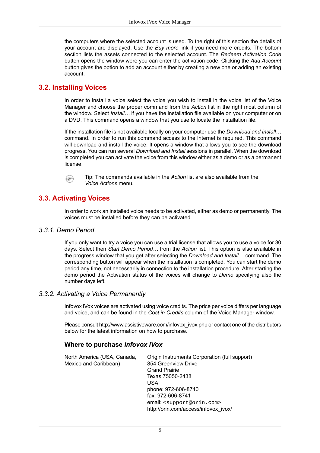the computers where the selected account is used. To the right of this section the details of your account are displayed. Use the *Buy more* link if you need more credits. The bottom section lists the assets connected to the selected account. The *Redeem Activation Code* button opens the window were you can enter the activation code. Clicking the *Add Account* button gives the option to add an account either by creating a new one or adding an existing account.

## <span id="page-7-0"></span>**3.2. Installing Voices**

In order to install a voice select the voice you wish to install in the voice list of the Voice Manager and choose the proper command from the *Action* list in the right most column of the window. Select *Install…* if you have the installation file available on your computer or on a DVD. This command opens a window that you use to locate the installation file.

If the installation file is not available locally on your computer use the *Download and Install…* command. In order to run this command access to the Internet is required. This command will download and install the voice. It opens a window that allows you to see the download progress. You can run several *Download and Install* sessions in parallel. When the download is completed you can activate the voice from this window either as a demo or as a permanent license.

<span id="page-7-1"></span>

Tip: The commands available in the *Action* list are also available from the *Voice Actions* menu.

## **3.3. Activating Voices**

In order to work an installed voice needs to be activated, either as demo or permanently. The voices must be installed before they can be activated.

#### *3.3.1. Demo Period*

<span id="page-7-2"></span>If you only want to try a voice you can use a trial license that allows you to use a voice for 30 days. Select then *Start Demo Period…* from the *Action* list. This option is also available in the progress window that you get after selecting the *Download and Install…* command. The corresponding button will appear when the installation is completed. You can start the demo period any time, not necessarily in connection to the installation procedure. After starting the demo period the Activation status of the voices will change to *Demo* specifying also the number days left.

#### *3.3.2. Activating a Voice Permanently*

Infovox iVox voices are activated using voice credits. The price per voice differs per language and voice, and can be found in the *Cost in Credits* column of the Voice Manager window.

Please consult [http://www.assistiveware.com/infovox\\_ivox.php](http://www.assistiveware.com/infovox_ivox.php) or contact one of the distributors below for the latest information on how to purchase.

#### **Where to purchase** *Infovox iVox*

| North America (USA, Canada,<br>Mexico and Caribbean) | Origin Instruments Corporation (full support)<br>854 Greenview Drive<br><b>Grand Prairie</b> |
|------------------------------------------------------|----------------------------------------------------------------------------------------------|
|                                                      | Texas 75050-2438                                                                             |
|                                                      | USA                                                                                          |
|                                                      | phone: 972-606-8740                                                                          |
|                                                      | fax: 972-606-8741                                                                            |
|                                                      | email: <support@orin.com></support@orin.com>                                                 |
|                                                      | http://orin.com/access/infovox_ivox/                                                         |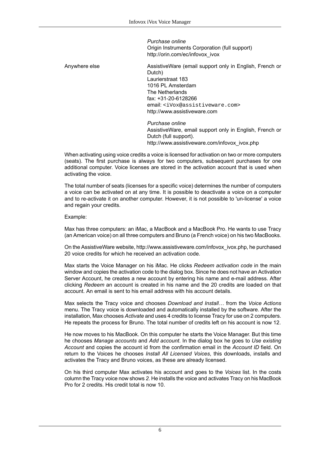*Purchase online* Origin Instruments Corporation (full support) [http://orin.com/ec/infovox\\_ivox](http://orin.com/ec/infovox_ivox)

Anywhere else **AssistiveWare (email support only in English, French or** AssistiveWare (email support only in English, French or Dutch) Laurierstraat 183 1016 PL Amsterdam The Netherlands fax: +31-20-6128266 email: <iVox@assistiveware.com> <http://www.assistiveware.com>

> *Purchase online* AssistiveWare, email support only in English, French or Dutch (full support). [http://www.assistiveware.com/infovox\\_ivox.php](http://www.assistiveware.com/infovox_ivox.php)

When activating using voice credits a voice is licensed for activation on two or more computers (seats). The first purchase is always for two computers, subsequent purchases for one additional computer. Voice licenses are stored in the activation account that is used when activating the voice.

The total number of seats (licenses for a specific voice) determines the number of computers a voice can be activated on at any time. It is possible to deactivate a voice on a computer and to re-activate it on another computer. However, it is not possible to 'un-license' a voice and regain your credits.

Example:

Max has three computers: an iMac, a MacBook and a MacBook Pro. He wants to use Tracy (an American voice) on all three computers and Bruno (a French voice) on his two MacBooks.

On the AssistiveWare website, [http://www.assistiveware.com/infovox\\_ivox.php](http://www.assistiveware.com/infovox_ivox.php), he purchased 20 voice credits for which he received an activation code.

Max starts the Voice Manager on his iMac. He clicks *Redeem activation code* in the main window and copies the activation code to the dialog box. Since he does not have an Activation Server Account, he creates a new account by entering his name and e-mail address. After clicking *Redeem* an account is created in his name and the 20 credits are loaded on that account. An email is sent to his email address with his account details.

Max selects the Tracy voice and chooses *Download and Install…* from the *Voice Actions* menu. The Tracy voice is downloaded and automatically installed by the software. After the installation, Max chooses *Activate* and uses 4 credits to license Tracy for use on 2 computers. He repeats the process for Bruno. The total number of credits left on his account is now 12.

He now moves to his MacBook. On this computer he starts the Voice Manager. But this time he chooses *Manage accounts* and *Add account*. In the dialog box he goes to *Use existing Account* and copies the account id from the confirmation email in the *Account ID* field. On return to the Voices he chooses *Install All Licensed Voices*, this downloads, installs and activates the Tracy and Bruno voices, as these are already licensed.

On his third computer Max activates his account and goes to the *Voices* list. In the costs column the Tracy voice now shows 2. He installs the voice and activates Tracy on his MacBook Pro for 2 credits. His credit total is now 10.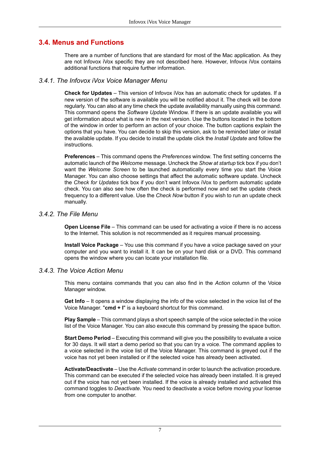## **3.4. Menus and Functions**

<span id="page-9-0"></span>There are a number of functions that are standard for most of the Mac application. As they are not Infovox iVox specific they are not described here. However, Infovox iVox contains additional functions that require further information.

#### *3.4.1. The Infovox iVox Voice Manager Menu*

**Check for Updates** – This version of Infovox iVox has an automatic check for updates. If a new version of the software is available you will be notified about it. The check will be done regularly. You can also at any time check the update availability manually using this command. This command opens the *Software Update* Window. If there is an update available you will get information about what is new in the next version. Use the buttons located in the bottom of the window in order to perform an action of your choice. The button captions explain the options that you have. You can decide to skip this version, ask to be reminded later or install the available update. If you decide to install the update click the *Install Update* and follow the instructions.

**Preferences** – This command opens the *Preferences* window. The first setting concerns the automatic launch of the *Welcome* message. Uncheck the *Show at startup* tick box if you don't want the *Welcome Screen* to be launched automatically every time you start the Voice Manager. You can also choose settings that affect the automatic software update. Uncheck the *Check for Updates* tick box if you don't want Infovox iVox to perform automatic update check. You can also see how often the check is performed now and set the update check frequency to a different value. Use the *Check Now* button if you wish to run an update check manually.

#### *3.4.2. The File Menu*

**Open License File** – This command can be used for activating a voice if there is no access to the Internet. This solution is not recommended as it requires manual processing.

**Install Voice Package** – You use this command if you have a voice package saved on your computer and you want to install it. It can be on your hard disk or a DVD. This command opens the window where you can locate your installation file.

#### *3.4.3. The Voice Action Menu*

This menu contains commands that you can also find in the *Action* column of the Voice Manager window.

**Get Info** – It opens a window displaying the info of the voice selected in the voice list of the Voice Manager. "**cmd + I**" is a keyboard shortcut for this command.

**Play Sample** – This command plays a short speech sample of the voice selected in the voice list of the Voice Manager. You can also execute this command by pressing the space button.

**Start Demo Period** – Executing this command will give you the possibility to evaluate a voice for 30 days. It will start a demo period so that you can try a voice. The command applies to a voice selected in the voice list of the Voice Manager. This command is greyed out if the voice has not yet been installed or if the selected voice has already been activated.

**Activate/Deactivate** – Use the *Activate* command in order to launch the activation procedure. This command can be executed if the selected voice has already been installed. It is greyed out if the voice has not yet been installed. If the voice is already installed and activated this command toggles to *Deactivate*. You need to deactivate a voice before moving your license from one computer to another.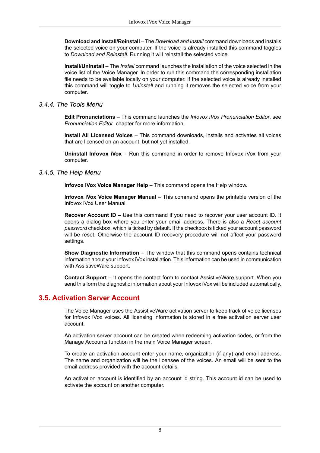**Download and Install/Reinstall**–The *Download and Install* command downloads and installs the selected voice on your computer. If the voice is already installed this command toggles to *Download and Reinstall*. Running it will reinstall the selected voice.

**Install/Uninstall** – The *Install* command launches the installation of the voice selected in the voice list of the Voice Manager. In order to run this command the corresponding installation file needs to be available locally on your computer. If the selected voice is already installed this command will toggle to *Uninstall* and running it removes the selected voice from your computer.

#### *3.4.4. The Tools Menu*

**Edit Pronunciations** – This command launches the *Infovox iVox Pronunciation Editor*, see *[Pronunciation](#page-12-0) Editor* chapter for more information.

**Install All Licensed Voices** – This command downloads, installs and activates all voices that are licensed on an account, but not yet installed.

**Uninstall Infovox iVox** – Run this command in order to remove Infovox iVox from your computer.

#### *3.4.5. The Help Menu*

**Infovox iVox Voice Manager Help** – This command opens the Help window.

**Infovox iVox Voice Manager Manual** – This command opens the printable version of the Infovox iVox User Manual.

**Recover Account ID** – Use this command if you need to recover your user account ID. It opens a dialog box where you enter your email address. There is also a *Reset account password* checkbox, which is ticked by default. If the checkbox is ticked your account password will be reset. Otherwise the account ID recovery procedure will not affect your password settings.

**Show Diagnostic Information** – The window that this command opens contains technical information about your Infovox iVox installation. This information can be used in communication with AssistiveWare support.

<span id="page-10-0"></span>**Contact Support** – It opens the contact form to contact AssistiveWare support. When you send this form the diagnostic information about your Infovox iVox will be included automatically.

#### **3.5. Activation Server Account**

The Voice Manager uses the AssistiveWare activation server to keep track of voice licenses for Infovox iVox voices. All licensing information is stored in a free activation server user account.

An activation server account can be created when redeeming activation codes, or from the Manage Accounts function in the main Voice Manager screen.

To create an activation account enter your name, organization (if any) and email address. The name and organization will be the licensee of the voices. An email will be sent to the email address provided with the account details.

An activation account is identified by an account id string. This account id can be used to activate the account on another computer.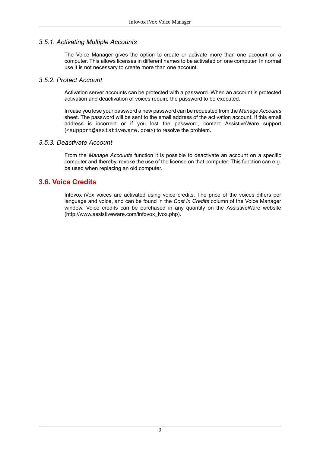#### *3.5.1. Activating Multiple Accounts*

The Voice Manager gives the option to create or activate more than one account on a computer. This allows licenses in different names to be activated on one computer. In normal use it is not necessary to create more than one account.

#### *3.5.2. Protect Account*

Activation server accounts can be protected with a password. When an account is protected activation and deactivation of voices require the password to be executed.

Incaseyouloseyourpasswordanew passwordcanberequestedfrom the *Manage Accounts* sheet. The password will be sent to the email address of the activation account. If this email address is incorrect or if you lost the password, contact AssistiveWare support (<support@assistiveware.com>) to resolve the problem.

#### *3.5.3. Deactivate Account*

<span id="page-11-0"></span>From the *Manage Accounts* function it is possible to deactivate an account on a specific computer and thereby, revoke the use of the license on that computer. This function can e.g. be used when replacing an old computer.

#### **3.6. Voice Credits**

Infovox iVox voices are activated using voice credits. The price of the voices differs per language and voice, and can be found in the *Cost in Credits* column of the Voice Manager window. Voice credits can be purchased in any quantity on the AssistiveWare website [\(http://www.assistiveware.com/infovox\\_ivox.php](http://www.assistiveware.com/infovox_ivox.php)).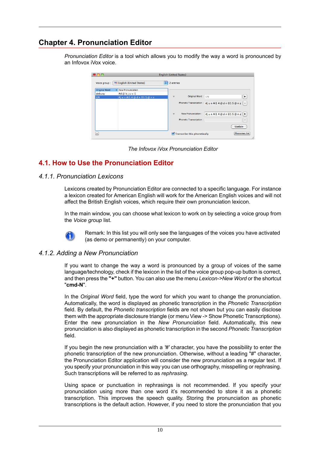# **Chapter 4. Pronunciation Editor**

<span id="page-12-0"></span>*Pronunciation Editor* is a tool which allows you to modify the way a word is pronounced by an Infovox iVox voice.



*The Infovox iVox Pronunciation Editor*

## <span id="page-12-1"></span>**4.1. How to Use the Pronunciation Editor**

#### *4.1.1. Pronunciation Lexicons*

Lexicons created by Pronunciation Editor are connected to a specific language. For instance a lexicon created for American English will work for the American English voices and will not affect the British English voices, which require their own pronunciation lexicon.

In the main window, you can choose what lexicon to work on by selecting a voice group from the *Voice group* list.



Remark: In this list you will only see the languages of the voices you have activated (as demo or permanently) on your computer.

#### *4.1.2. Adding a New Pronunciation*

If you want to change the way a word is pronounced by a group of voices of the same language/technology, check if the lexicon in the list of the voice group pop-up button is correct, and then press the **"+"** button. You can also use the menu *Lexicon->New Word* or the shortcut "**cmd-N**".

In the *Original Word* field, type the word for which you want to change the pronunciation. Automatically, the word is displayed as phonetic transcription in the *Phonetic Transcription* field. By default, the *Phonetic transcription* fields are not shown but you can easily disclose them with the appropriate disclosure triangle (or menu View -> Show Phonetic Transcriptions). Enter the new pronunciation in the *New Pronunciation* field. Automatically, this new pronunciationisalsodisplayedasphonetic transcriptioninthesecond *Phonetic Transcription* field.

If you begin the new pronunciation with a *'#'* character, you have the possibility to enter the phonetic transcription of the new pronunciation. Otherwise, without a leading "#" character, the Pronunciation Editor application will consider the new pronunciation as a regular text. If you specify your pronunciation in this way you can use orthography, misspelling or rephrasing. Such transcriptions will be referred to as *rephrasing*.

Using space or punctuation in rephrasings is not recommended. If you specify your pronunciation using more than one word it's recommended to store it as a phonetic transcription. This improves the speech quality. Storing the pronunciation as phonetic transcriptions is the default action. However, if you need to store the pronunciation that you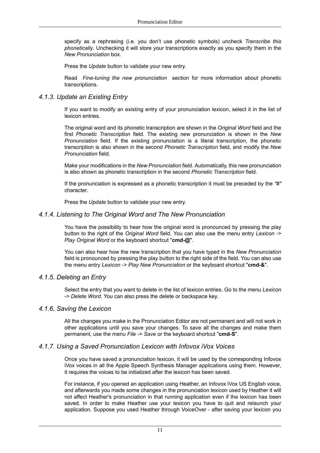specify as a rephrasing (i.e. you don't use phonetic symbols) uncheck *Transcribe this phonetically*. Unchecking it will store your transcriptions exactly as you specify them in the *New Pronunciation* box.

Press the *Update* button to validate your new entry.

Read *Fine-tuning the new [pronunciation](#page-14-0)* section for more information about phonetic transcriptions.

#### *4.1.3. Update an Existing Entry*

If you want to modify an existing entry of your pronunciation lexicon, select it in the list of lexicon entries.

The original word and its phonetic transcription are shown in the *Original Word* field and the first *Phonetic Transcription* field. The existing new pronunciation is shown in the *New Pronunciation* field. If the existing pronunciation is a literal transcription, the phonetic transcription is also shown in the second *Phonetic Transcription* field, and modify the *New Pronunciation* field.

Make your modifications in the *New Pronunciation* field. Automatically, this new pronunciation is also shown as phonetic transcription in the second *Phonetic Transcription* field.

<span id="page-13-0"></span>If the pronunciation is expressed as a phonetic transcription it must be preceded by the *"#"* character.

Press the *Update* button to validate your new entry.

#### *4.1.4. Listening to The Original Word and The New Pronunciation*

You have the possibility to hear how the original word is pronounced by pressing the play button to the right of the *Original Word* field. You can also use the menu entry *Lexicon -> Play Original Word* or the keyboard shortcut "**cmd-@**".

You can also hear how the new transcription that you have typed in the *New Pronunciation* field is pronounced by pressing the play button to the right side of the field. You can also use the menu entry *Lexicon -> Play New Pronunciation* or the keyboard shortcut "**cmd-&**".

#### *4.1.5. Deleting an Entry*

Select the entry that you want to delete in the list of lexicon entries. Go to the menu *Lexicon -> Delete Word*. You can also press the delete or backspace key.

#### *4.1.6. Saving the Lexicon*

All the changes you make in the Pronunciation Editor are not permanent and will not work in other applications until you save your changes. To save all the changes and make them permanent, use the menu *File -> Save* or the keyboard shortcut "**cmd-S**".

#### *4.1.7. Using a Saved Pronunciation Lexicon with Infovox iVox Voices*

Once you have saved a pronunciation lexicon, it will be used by the corresponding Infovox iVox voices in all the Apple Speech Synthesis Manager applications using them. However, it requires the voices to be initialized after the lexicon has been saved.

For instance, if you opened an application using Heather, an Infovox iVox US English voice, and afterwards you made some changes in the pronunciation lexicon used by Heather it will not affect Heather's pronunciation in that running application even if the lexicon has been saved. In order to make Heather use your lexicon you have to quit and relaunch your application. Suppose you used Heather through VoiceOver - after saving your lexicon you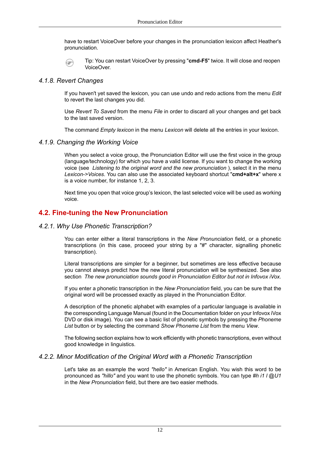have to restart VoiceOver before your changes in the pronunciation lexicon affect Heather's pronunciation.

Tip: You can restart VoiceOver by pressing "**cmd-F5**" twice. It will close and reopen  $\circ$ VoiceOver.

#### *4.1.8. Revert Changes*

If you haven't yet saved the lexicon, you can use undo and redo actions from the menu *Edit* to revert the last changes you did.

Use *Revert To Saved* from the menu *File* in order to discard all your changes and get back to the last saved version.

The command *Empty lexicon* in the menu *Lexicon* will delete all the entries in your lexicon.

#### *4.1.9. Changing the Working Voice*

When you select a voice group, the Pronunciation Editor will use the first voice in the group (language/technology) for which you have a valid license. If you want to change the working voice (see *Listening to the original word and the new [pronunciation](#page-13-0)* ), select it in the menu *Lexicon->Voices*. You can also use the associated keyboard shortcut "**cmd+alt+x**" where x is a voice number, for instance 1, 2, 3.

<span id="page-14-0"></span>Next time you open that voice group's lexicon, the last selected voice will be used as working voice.

#### **4.2. Fine-tuning the New Pronunciation**

#### *4.2.1. Why Use Phonetic Transcription?*

You can enter either a literal transcriptions in the *New Pronunciation* field, or a phonetic transcriptions (in this case, proceed your string by a "#" character, signalling phonetic transcription).

Literal transcriptions are simpler for a beginner, but sometimes are less effective because you cannot always predict how the new literal pronunciation will be synthesized. See also section *The new pronunciation sounds good in [Pronunciation](#page-18-3) Editor but not in Infovox iVox.*

If you enter a phonetic transcription in the *New Pronunciation* field, you can be sure that the original word will be processed exactly as played in the Pronunciation Editor.

A description of the phonetic alphabet with examples of a particular language is available in the corresponding Language Manual (found in the Documentation folder on your Infovox iVox DVD or disk image). You can see a basic list of phonetic symbols by pressing the *Phoneme List* button or by selecting the command *Show Phoneme List* from the menu *View*.

The following section explains how to work efficiently with phonetic transcriptions, even without good knowledge in linguistics.

#### *4.2.2. Minor Modification of the Original Word with a Phonetic Transcription*

Let's take as an example the word *"hello"* in American English. You wish this word to be pronounced as *"hillo"* and you want to use the phonetic symbols. You can type *#h i1 l @U1* in the *New Pronunciation* field, but there are two easier methods.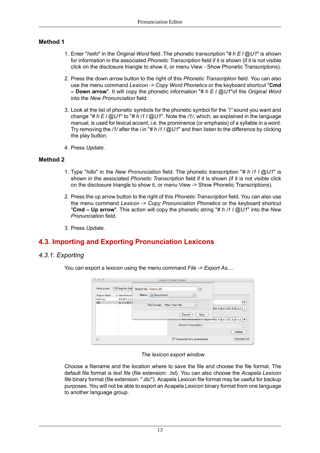#### **Method 1**

- 1. Enter "*hello*" in the *Original Word* field. The phonetic transcription "*# h E l @U1*" is shown for information in the associated *Phonetic Transcription* field if it is shown (if it is not visible click on the disclosure triangle to show it, or menu View - Show Phonetic Transcriptions).
- 2. Press the down arrow button to the right of this *Phonetic Transcription* field. You can also use the menu command *Lexicon -> Copy Word Phonetics* or the keyboard shortcut "**Cmd – Down arrow**". It will copy the phonetic information "*# h E l @U1*"of the *Original Word* into the *New Pronunciation* field.
- 3. Look at the list of phonetic symbols for the phonetic symbol for the *"i"* sound you want and change "*# h E l @U1*" to "*# h i1 l @U1*". Note the */1/*, which, as explained in the language manual, is used for lexical accent, i.e. the prominence (or emphasis) of a syllable in a word. Try removing the */1/* after the *i* in "*# h i1 l @U1*" and then listen to the difference by clicking the play button.
- 4. Press *Update*.

#### **Method 2**

- 1. Type "*hillo*" in the *New Pronunciation* field. The phonetic transcription "*# h i1 l @U1*" is shown in the associated *Phonetic Transcription* field if it is shown (if it is not visible click on the disclosure triangle to show it, or menu View -> Show Phonetic Transcriptions).
- 2. Press the up arrow button to the right of this *Phonetic Transcription* field. You can also use the menu command *Lexicon -> Copy Pronunciation Phonetics* or the keyboard shortcut "**Cmd – Up arrow**". This action will copy the phonetic string "*# h i1 l @U1*" into the *New Pronunciation* field.
- <span id="page-15-1"></span><span id="page-15-0"></span>3. Press *Update*.

## **4.3. Importing and Exporting Pronunciation Lexicons**

#### *4.3.1. Exporting*

You can export a lexicon using the menu command *File -> Export As...*.

| 000           |                             | English (United States)                                              |   |
|---------------|-----------------------------|----------------------------------------------------------------------|---|
| Voice group:  | English (Uni                | Export As: Export_US<br>$\blacktriangledown$                         |   |
| Original Word | New Pronunc<br>$\mathbf{v}$ | Where: Documents<br>÷                                                |   |
| debusy        | #d@bju!                     |                                                                      |   |
| <b>UN</b>     | #j u n Al 1 4               |                                                                      | ٠ |
|               |                             | $\div$<br><b>Plain Text File</b><br>File Format:                     |   |
|               |                             | Al1 4 @ d n El1 S @ n z   +                                          |   |
|               |                             | Save<br>Cancel                                                       |   |
|               |                             | $\pi$ jun Al1 4 @ d n El1 5 @ n z $\blacktriangleright$<br>INCW      |   |
|               |                             |                                                                      |   |
|               |                             | <b>Phonetic Transcription:</b>                                       |   |
|               |                             |                                                                      |   |
|               |                             | Update                                                               |   |
| $\ddot{}$     |                             | <b>Phonemes list</b><br>$\triangledown$ Transcribe this phonetically |   |

#### *The lexicon export window*

Choose a filename and the location where to save the file and choose the file format. The default file format is *text file* (file extension: *.txt*). You can also choose the *Acapela Lexicon file* binary format (file extension: ".dic"). Acapela Lexicon file format may be useful for backup purposes. You will not be able to export an Acapela Lexicon binary format from one language to another language group.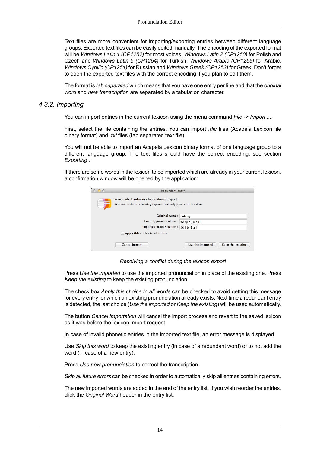Text files are more convenient for importing/exporting entries between different language groups. Exported text files can be easily edited manually. The encoding of the exported format will be *Windows Latin 1 (CP1252)* for most voices, *Windows Latin 2 (CP1250)* for Polish and Czech and *Windows Latin 5 (CP1254)* for Turkish, *Windows Arabic (CP1256)* for Arabic, *Windows Cyrillic (CP1251)* for Russian and *Windows Greek (CP1253)* for Greek. Don't forget to open the exported text files with the correct encoding if you plan to edit them.

The format is *tab separated* which means that you have one entry per line and that the *original word* and *new transcription* are separated by a tabulation character.

#### *4.3.2. Importing*

You can import entries in the current lexicon using the menu command *File -> Import ...*.

First, select the file containing the entries. You can import *.dic* files (Acapela Lexicon file binary format) and *.txt* files (tab separated text file).

You will not be able to import an Acapela Lexicon binary format of one language group to a different language group. The text files should have the correct encoding, see section *[Exporting](#page-15-1)* .

If there are some words in the lexicon to be imported which are already in your current lexicon, a confirmation window will be opened by the application:

| 0 Q | <b>Redundant entry</b>                                                                                                |                                       |  |  |
|-----|-----------------------------------------------------------------------------------------------------------------------|---------------------------------------|--|--|
|     | A redundant entry was found during import<br>One word in the lexicon being imported is already present in the lexicon |                                       |  |  |
|     | Original word:                                                                                                        | debusy                                |  |  |
|     | Existing pronunciation:                                                                                               | #d@bjusi1                             |  |  |
|     | Imported pronunciation :                                                                                              | #d   b   1 z i                        |  |  |
|     | Apply this choice to all words                                                                                        |                                       |  |  |
|     | Cancel import                                                                                                         | Use the imported<br>Keep the existing |  |  |

*Resolving a conflict during the lexicon export*

Press *Use the imported* to use the imported pronunciation in place of the existing one. Press *Keep the existing* to keep the existing pronunciation.

The check box *Apply this choice to all words* can be checked to avoid getting this message for every entry for which an existing pronunciation already exists. Next time a redundant entry is detected, the last choice (*Use the imported* or *Keep the existing*) will be used automatically.

The button *Cancel importation* will cancel the import process and revert to the saved lexicon as it was before the lexicon import request.

In case of invalid phonetic entries in the imported text file, an error message is displayed.

Use *Skip this word* to keep the existing entry (in case of a redundant word) or to not add the word (in case of a new entry).

Press *Use new pronunciation* to correct the transcription.

*Skip all future errors* can be checked in order to automatically skip all entries containing errors.

The new imported words are added in the end of the entry list. If you wish reorder the entries, click the *Original Word* header in the entry list.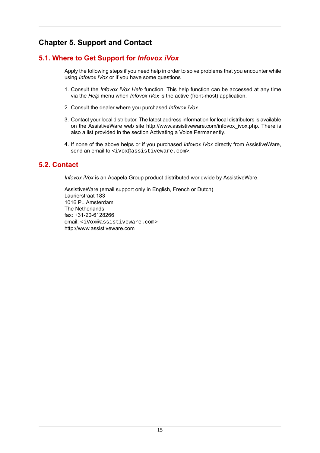# <span id="page-17-0"></span>**Chapter 5. Support and Contact**

## **5.1. Where to Get Support for** *Infovox iVox*

<span id="page-17-1"></span>Apply the following steps if you need help in order to solve problems that you encounter while using *Infovox iVox* or if you have some questions

- 1. Consult the *Infovox iVox Help* function. This help function can be accessed at any time via the *Help* menu when *Infovox iVox* is the active (front-most) application.
- 2. Consult the dealer where you purchased *Infovox iVox*.
- 3. Contact your local distributor. The latest address information for local distributors is available on the AssistiveWare web site [http://www.assistiveware.com/infovox\\_ivox.php.](http://www.assistiveware.com/infovox_ivox.php) There is also a list provided in the section Activating a Voice [Permanently.](#page-7-2)
- <span id="page-17-2"></span>4. If none of the above helps or if you purchased *Infovox iVox* directly from AssistiveWare, send an email to <ivox@assistiveware.com>.

## **5.2. Contact**

*Infovox iVox* is an Acapela Group product distributed worldwide by AssistiveWare.

AssistiveWare (email support only in English, French or Dutch) Laurierstraat 183 1016 PL Amsterdam The Netherlands fax: +31-20-6128266 email: <iVox@assistiveware.com> <http://www.assistiveware.com>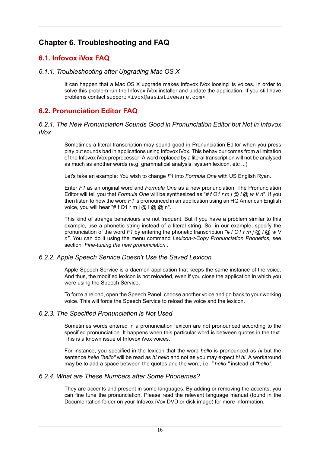## <span id="page-18-0"></span>**Chapter 6. Troubleshooting and FAQ**

## <span id="page-18-1"></span>**6.1. Infovox iVox FAQ**

#### *6.1.1. Troubleshooting after Upgrading Mac OS X*

<span id="page-18-2"></span>It can happen that a Mac OS X upgrade makes Infovox iVox loosing its voices. In order to solve this problem run the Infovox iVox installer and update the application. If you still have problems contact support: <ivox@assistiveware.com>

## <span id="page-18-3"></span>**6.2. Pronunciation Editor FAQ**

#### *6.2.1. The New Pronunciation Sounds Good in Pronunciation Editor but Not in Infovox iVox*

Sometimes a literal transcription may sound good in Pronunciation Editor when you press play but sounds bad in applications using Infovox iVox. This behaviour comes from a limitation of the Infovox iVox preprocessor: A word replaced by a literal transcription will not be analysed as much as another words (e.g. grammatical analysis, system lexicon, etc ...)

Let's take an example: You wish to change *F1* into *Formula One* with US English Ryan.

Enter *F1* as an original word and *Formula One* as a new pronunciation. The Pronunciation Editor will tell you that *Formula One* will be synthesized as "*# f O1 r m j @ l @ w V n*". If you then listen to how the word *F1* is pronounced in an application using an HQ American English voice, you will hear "#  $f$  O1 r m  $j$  @  $l$  @  $q$  n".

This kind of strange behaviours are not frequent. But if you have a problem similar to this example, use a phonetic string instead of a literal string. So, in our example, specify the pronunciation of the word *F1* by entering the phonetic transcription *"# f O1 r m j @ l @ w V n"*. You can do it using the menu command *Lexicon->Copy Pronunciation Phonetics*, see section *Fine-tuning the new [pronunciation](#page-14-0)* .

#### *6.2.2. Apple Speech Service Doesn't Use the Saved Lexicon*

Apple Speech Service is a daemon application that keeps the same instance of the voice. And thus, the modified lexicon is not reloaded, even if you close the application in which you were using the Speech Service.

To force a reload, open the Speech Panel, choose another voice and go back to your working voice. This will force the Speech Service to reload the voice and the lexicon.

#### *6.2.3. The Specified Pronunciation is Not Used*

Sometimes words entered in a pronunciation lexicon are not pronounced according to the specified pronunciation. It happens when this particular word is between quotes in the text. This is a known issue of Infovox iVox voices.

For instance, you specified in the lexicon that the word *hello* is pronounced as *hi* but the sentence *hello "hello"* will be read as *hi hello* and not as you may expect *hi hi*. A workaround may be to add a space between the quotes and the word, i.e. *" hello "* instead of *"hello"*.

#### *6.2.4. What are These Numbers after Some Phonemes?*

They are accents and present in some languages. By adding or removing the accents, you can fine tune the pronunciation. Please read the relevant language manual (found in the Documentation folder on your Infovox iVox DVD or disk image) for more information.